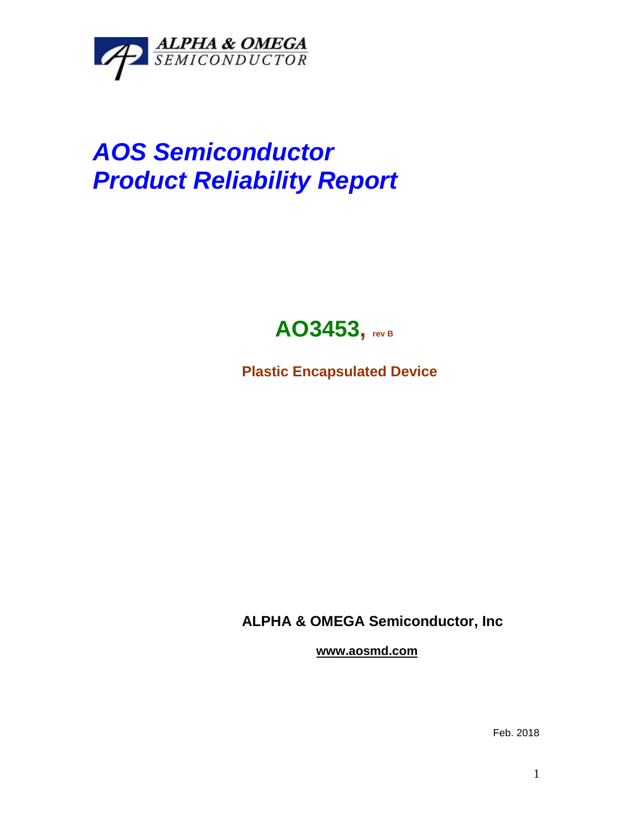

## *AOS Semiconductor Product Reliability Report*



**Plastic Encapsulated Device**

**ALPHA & OMEGA Semiconductor, Inc**

**www.aosmd.com**

Feb. 2018